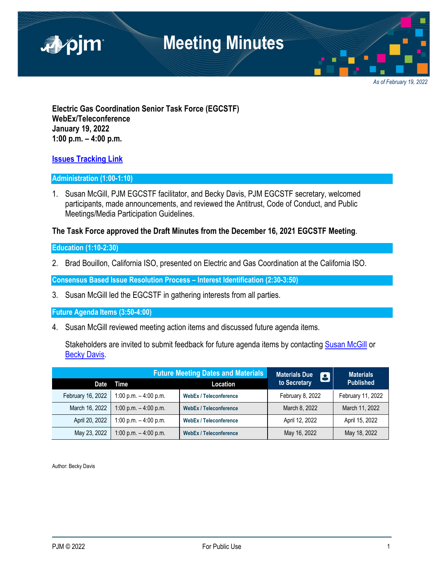

*As of February 19, 2022*

**Electric Gas Coordination Senior Task Force (EGCSTF) WebEx/Teleconference January 19, 2022 1:00 p.m. – 4:00 p.m.** 

### **Issues Tracking Link**

#### **Administration (1:00-1:10)**

1. Susan McGill, PJM EGCSTF facilitator, and Becky Davis, PJM EGCSTF secretary, welcomed participants, made announcements, and reviewed the Antitrust, Code of Conduct, and Public Meetings/Media Participation Guidelines.

### **The Task Force approved the Draft Minutes from the December 16, 2021 EGCSTF Meeting**.

#### **Education (1:10-2:30)**

2. Brad Bouillon, California ISO, presented on Electric and Gas Coordination at the California ISO.

**Consensus Based Issue Resolution Process – Interest Identification (2:30-3:50)** 

3. Susan McGill led the EGCSTF in gathering interests from all parties.

**Future Agenda Items (3:50-4:00)** 

4. Susan McGill reviewed meeting action items and discussed future agenda items.

Stakeholders are invited to submit feedback for future agenda items by contacting Susan McGill or **Becky Davis.** 

|                   | <b>Future Meeting Dates and Materials</b> |                               | <b>Materials Due</b><br>$\blacksquare$ | <b>Materials</b>  |
|-------------------|-------------------------------------------|-------------------------------|----------------------------------------|-------------------|
| Date              | Time                                      | Location                      | to Secretary                           | <b>Published</b>  |
| February 16, 2022 | 1:00 p.m. $-$ 4:00 p.m.                   | <b>WebEx / Teleconference</b> | February 8, 2022                       | February 11, 2022 |
| March 16, 2022    | 1:00 p.m. $-$ 4:00 p.m.                   | <b>WebEx / Teleconference</b> | March 8, 2022                          | March 11, 2022    |
| April 20, 2022    | 1:00 p.m. $-$ 4:00 p.m.                   | <b>WebEx / Teleconference</b> | April 12, 2022                         | April 15, 2022    |
| May 23, 2022      | 1:00 p.m. $-$ 4:00 p.m.                   | <b>WebEx / Teleconference</b> | May 16, 2022                           | May 18, 2022      |

Author: Becky Davis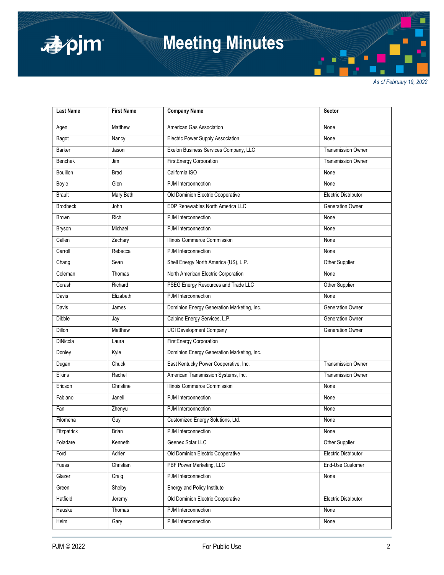

# **Meeting Minutes**

*As of February 19, 2022*

| <b>Last Name</b> | <b>First Name</b> | <b>Company Name</b>                        | Sector                      |
|------------------|-------------------|--------------------------------------------|-----------------------------|
| Agen             | Matthew           | American Gas Association                   | None                        |
| Bagot            | Nancy             | Electric Power Supply Association          | None                        |
| Barker           | Jason             | Exelon Business Services Company, LLC      | <b>Transmission Owner</b>   |
| <b>Benchek</b>   | Jim               | <b>FirstEnergy Corporation</b>             | <b>Transmission Owner</b>   |
| Bouillon         | <b>Brad</b>       | California ISO                             | None                        |
| Boyle            | Glen              | PJM Interconnection                        | None                        |
| <b>Brault</b>    | Mary Beth         | Old Dominion Electric Cooperative          | <b>Electric Distributor</b> |
| <b>Brodbeck</b>  | John              | EDP Renewables North America LLC           | Generation Owner            |
| <b>Brown</b>     | Rich              | PJM Interconnection                        | None                        |
| <b>Bryson</b>    | Michael           | PJM Interconnection                        | None                        |
| Callen           | Zachary           | Illinois Commerce Commission               | None                        |
| Carroll          | Rebecca           | PJM Interconnection                        | None                        |
| Chang            | Sean              | Shell Energy North America (US), L.P.      | Other Supplier              |
| Coleman          | Thomas            | North American Electric Corporation        | None                        |
| Corash           | Richard           | PSEG Energy Resources and Trade LLC        | Other Supplier              |
| Davis            | Elizabeth         | PJM Interconnection                        | None                        |
| Davis            | James             | Dominion Energy Generation Marketing, Inc. | Generation Owner            |
| Dibble           | Jay               | Calpine Energy Services, L.P.              | <b>Generation Owner</b>     |
| <b>Dillon</b>    | Matthew           | <b>UGI Development Company</b>             | <b>Generation Owner</b>     |
| DiNicola         | Laura             | <b>FirstEnergy Corporation</b>             |                             |
| Donley           | Kyle              | Dominion Energy Generation Marketing, Inc. |                             |
| Dugan            | Chuck             | East Kentucky Power Cooperative, Inc.      | <b>Transmission Owner</b>   |
| Elkins           | Rachel            | American Transmission Systems, Inc.        | <b>Transmission Owner</b>   |
| Ericson          | Christine         | Illinois Commerce Commission               | None                        |
| Fabiano          | Janell            | PJM Interconnection                        | None                        |
| Fan              | Zhenyu            | PJM Interconnection                        | None                        |
| Filomena         | Guy               | Customized Energy Solutions, Ltd.          | None                        |
| Fitzpatrick      | <b>Brian</b>      | PJM Interconnection                        | None                        |
| Foladare         | Kenneth           | Geenex Solar LLC                           | Other Supplier              |
| Ford             | Adrien            | Old Dominion Electric Cooperative          | <b>Electric Distributor</b> |
| Fuess            | Christian         | PBF Power Marketing, LLC                   | End-Use Customer            |
| Glazer           | Craig             | PJM Interconnection                        | None                        |
| Green            | Shelby            | <b>Energy and Policy Institute</b>         |                             |
| Hatfield         | Jeremy            | Old Dominion Electric Cooperative          | <b>Electric Distributor</b> |
| Hauske           | Thomas            | PJM Interconnection                        | None                        |
| Helm             | Gary              | PJM Interconnection                        | None                        |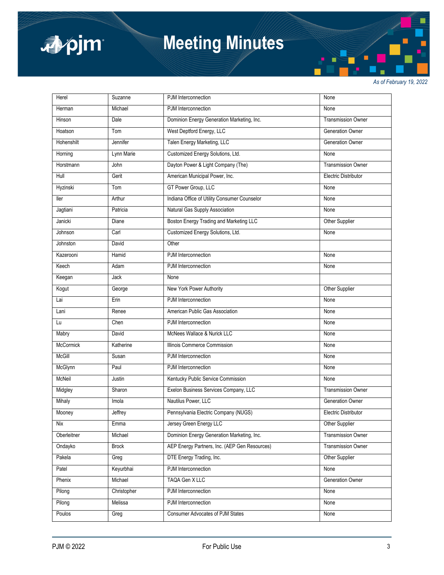

# **Meeting Minutes**

*As of February 19, 2022*

| Herel            | Suzanne      | PJM Interconnection                           | None                        |
|------------------|--------------|-----------------------------------------------|-----------------------------|
| Herman           | Michael      | PJM Interconnection                           | None                        |
| Hinson           | Dale         | Dominion Energy Generation Marketing, Inc.    | <b>Transmission Owner</b>   |
| Hoatson          | Tom          | West Deptford Energy, LLC                     | <b>Generation Owner</b>     |
| Hohenshilt       | Jennifer     | Talen Energy Marketing, LLC                   | <b>Generation Owner</b>     |
| Horning          | Lynn Marie   | Customized Energy Solutions, Ltd.             | None                        |
| Horstmann        | John         | Dayton Power & Light Company (The)            | <b>Transmission Owner</b>   |
| Hull             | Gerit        | American Municipal Power, Inc.                | <b>Electric Distributor</b> |
| Hyzinski         | Tom          | GT Power Group, LLC                           | None                        |
| ller             | Arthur       | Indiana Office of Utility Consumer Counselor  | None                        |
| Jagtiani         | Patricia     | Natural Gas Supply Association                | None                        |
| Janicki          | Diane        | Boston Energy Trading and Marketing LLC       | Other Supplier              |
| Johnson          | Carl         | Customized Energy Solutions, Ltd.             | None                        |
| Johnston         | David        | Other                                         |                             |
| Kazerooni        | Hamid        | PJM Interconnection                           | None                        |
| Keech            | Adam         | PJM Interconnection                           | None                        |
| Keegan           | Jack         | None                                          |                             |
| Kogut            | George       | New York Power Authority                      | Other Supplier              |
| Lai              | Erin         | PJM Interconnection                           | None                        |
| Lani             | Renee        | American Public Gas Association               | None                        |
| Lu               | Chen         | PJM Interconnection                           | None                        |
| Mabry            | David        | McNees Wallace & Nurick LLC                   | None                        |
| <b>McCormick</b> | Katherine    | Illinois Commerce Commission                  | None                        |
| <b>McGill</b>    | Susan        | PJM Interconnection                           | None                        |
| McGlynn          | Paul         | PJM Interconnection                           | None                        |
| McNeil           | Justin       | Kentucky Public Service Commission            | None                        |
| Midgley          | Sharon       | Exelon Business Services Company, LLC         | <b>Transmission Owner</b>   |
| Mihaly           | Imola        | Nautilus Power, LLC                           | <b>Generation Owner</b>     |
| Mooney           | Jeffrey      | Pennsylvania Electric Company (NUGS)          | <b>Electric Distributor</b> |
| Nix              | Emma         | Jersey Green Energy LLC                       | Other Supplier              |
| Oberleitner      | Michael      | Dominion Energy Generation Marketing, Inc.    | <b>Transmission Owner</b>   |
| Ondayko          | <b>Brock</b> | AEP Energy Partners, Inc. (AEP Gen Resources) | <b>Transmission Owner</b>   |
| Pakela           | Greg         | DTE Energy Trading, Inc.                      | Other Supplier              |
| Patel            | Keyurbhai    | PJM Interconnection                           | None                        |
| Phenix           | Michael      | TAQA Gen X LLC                                | Generation Owner            |
| Pilong           | Christopher  | PJM Interconnection                           | None                        |
| Pilong           | Melissa      | PJM Interconnection                           | None                        |
| Poulos           | Greg         | Consumer Advocates of PJM States              | None                        |